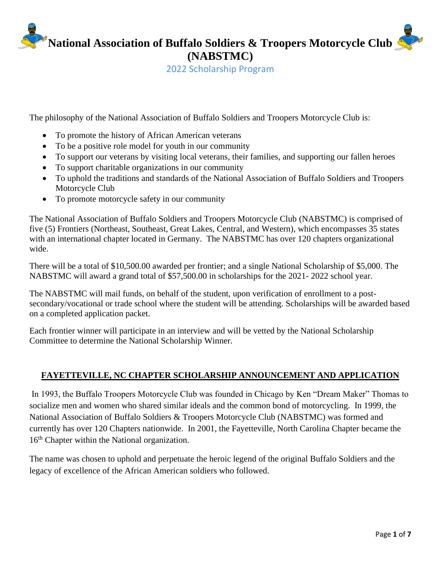**National Association of Buffalo Soldiers & Troopers Motorcycle Club (NABSTMC)**

2022 Scholarship Program

The philosophy of the National Association of Buffalo Soldiers and Troopers Motorcycle Club is:

- To promote the history of African American veterans
- To be a positive role model for youth in our community
- To support our veterans by visiting local veterans, their families, and supporting our fallen heroes
- To support charitable organizations in our community
- To uphold the traditions and standards of the National Association of Buffalo Soldiers and Troopers Motorcycle Club
- To promote motorcycle safety in our community

The National Association of Buffalo Soldiers and Troopers Motorcycle Club (NABSTMC) is comprised of five (5) Frontiers (Northeast, Southeast, Great Lakes, Central, and Western), which encompasses 35 states with an international chapter located in Germany. The NABSTMC has over 120 chapters organizational wide.

There will be a total of \$10,500.00 awarded per frontier; and a single National Scholarship of \$5,000. The NABSTMC will award a grand total of \$57,500.00 in scholarships for the 2021- 2022 school year.

The NABSTMC will mail funds, on behalf of the student, upon verification of enrollment to a postsecondary/vocational or trade school where the student will be attending. Scholarships will be awarded based on a completed application packet.

Each frontier winner will participate in an interview and will be vetted by the National Scholarship Committee to determine the National Scholarship Winner.

### **FAYETTEVILLE, NC CHAPTER SCHOLARSHIP ANNOUNCEMENT AND APPLICATION**

In 1993, the Buffalo Troopers Motorcycle Club was founded in Chicago by Ken "Dream Maker" Thomas to socialize men and women who shared similar ideals and the common bond of motorcycling. In 1999, the National Association of Buffalo Soldiers & Troopers Motorcycle Club (NABSTMC) was formed and currently has over 120 Chapters nationwide. In 2001, the Fayetteville, North Carolina Chapter became the 16<sup>th</sup> Chapter within the National organization.

The name was chosen to uphold and perpetuate the heroic legend of the original Buffalo Soldiers and the legacy of excellence of the African American soldiers who followed.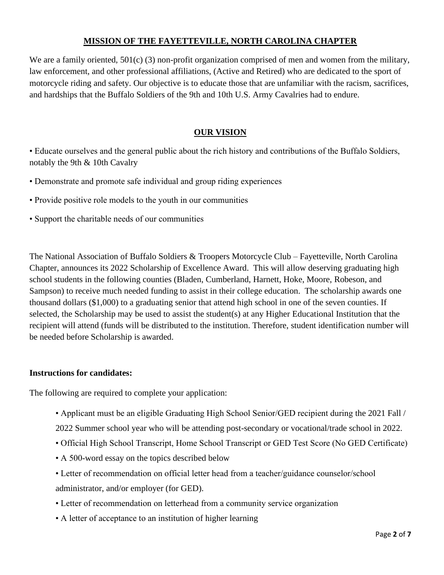### **MISSION OF THE FAYETTEVILLE, NORTH CAROLINA CHAPTER**

We are a family oriented, 501(c) (3) non-profit organization comprised of men and women from the military, law enforcement, and other professional affiliations, (Active and Retired) who are dedicated to the sport of motorcycle riding and safety. Our objective is to educate those that are unfamiliar with the racism, sacrifices, and hardships that the Buffalo Soldiers of the 9th and 10th U.S. Army Cavalries had to endure.

### **OUR VISION**

• Educate ourselves and the general public about the rich history and contributions of the Buffalo Soldiers, notably the 9th & 10th Cavalry

• Demonstrate and promote safe individual and group riding experiences

• Provide positive role models to the youth in our communities

• Support the charitable needs of our communities

The National Association of Buffalo Soldiers & Troopers Motorcycle Club – Fayetteville, North Carolina Chapter, announces its 2022 Scholarship of Excellence Award. This will allow deserving graduating high school students in the following counties (Bladen, Cumberland, Harnett, Hoke, Moore, Robeson, and Sampson) to receive much needed funding to assist in their college education. The scholarship awards one thousand dollars (\$1,000) to a graduating senior that attend high school in one of the seven counties. If selected, the Scholarship may be used to assist the student(s) at any Higher Educational Institution that the recipient will attend (funds will be distributed to the institution. Therefore, student identification number will be needed before Scholarship is awarded.

### **Instructions for candidates:**

The following are required to complete your application:

• Applicant must be an eligible Graduating High School Senior/GED recipient during the 2021 Fall /

2022 Summer school year who will be attending post-secondary or vocational/trade school in 2022.

- Official High School Transcript, Home School Transcript or GED Test Score (No GED Certificate)
- A 500-word essay on the topics described below
- Letter of recommendation on official letter head from a teacher/guidance counselor/school administrator, and/or employer (for GED).
- Letter of recommendation on letterhead from a community service organization
- A letter of acceptance to an institution of higher learning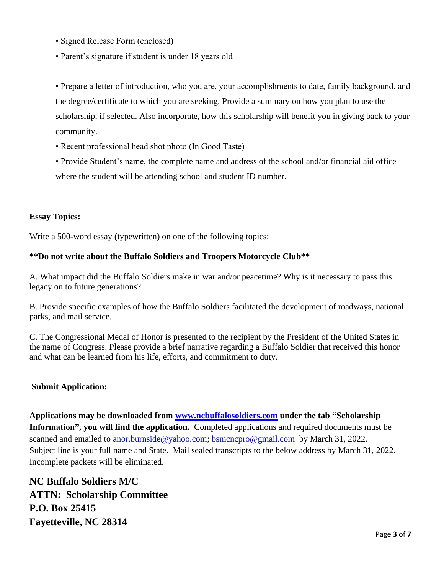- Signed Release Form (enclosed)
- Parent's signature if student is under 18 years old

• Prepare a letter of introduction, who you are, your accomplishments to date, family background, and the degree/certificate to which you are seeking. Provide a summary on how you plan to use the scholarship, if selected. Also incorporate, how this scholarship will benefit you in giving back to your community.

- Recent professional head shot photo (In Good Taste)
- Provide Student's name, the complete name and address of the school and/or financial aid office where the student will be attending school and student ID number.

#### **Essay Topics:**

Write a 500-word essay (typewritten) on one of the following topics:

#### **\*\*Do not write about the Buffalo Soldiers and Troopers Motorcycle Club\*\***

A. What impact did the Buffalo Soldiers make in war and/or peacetime? Why is it necessary to pass this legacy on to future generations?

B. Provide specific examples of how the Buffalo Soldiers facilitated the development of roadways, national parks, and mail service.

C. The Congressional Medal of Honor is presented to the recipient by the President of the United States in the name of Congress. Please provide a brief narrative regarding a Buffalo Soldier that received this honor and what can be learned from his life, efforts, and commitment to duty.

#### **Submit Application:**

**Applications may be downloaded from [www.ncbuffalosoldiers.com](http://www.ncbuffalosoldiers.com/) under the tab "Scholarship Information", you will find the application.** Completed applications and required documents must be scanned and emailed to **[anor.burnside@yahoo.com;](mailto:anor.burnside@yahoo.com)** [bsmcncpro@gmail.com](mailto:bsmcncpro@gmail.com) by March 31, 2022. Subject line is your full name and State. Mail sealed transcripts to the below address by March 31, 2022. Incomplete packets will be eliminated.

**NC Buffalo Soldiers M/C ATTN: Scholarship Committee P.O. Box 25415 Fayetteville, NC 28314**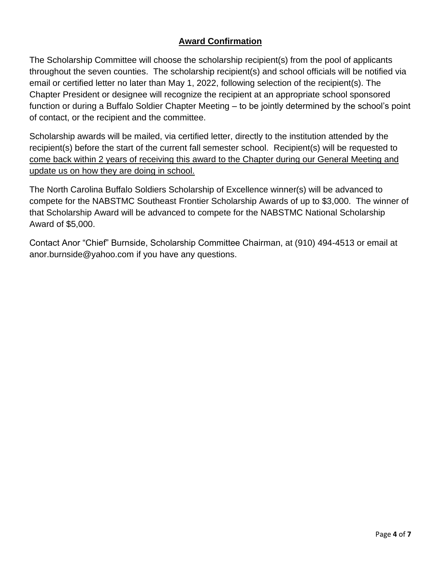### **Award Confirmation**

The Scholarship Committee will choose the scholarship recipient(s) from the pool of applicants throughout the seven counties. The scholarship recipient(s) and school officials will be notified via email or certified letter no later than May 1, 2022, following selection of the recipient(s). The Chapter President or designee will recognize the recipient at an appropriate school sponsored function or during a Buffalo Soldier Chapter Meeting – to be jointly determined by the school's point of contact, or the recipient and the committee.

Scholarship awards will be mailed, via certified letter, directly to the institution attended by the recipient(s) before the start of the current fall semester school. Recipient(s) will be requested to come back within 2 years of receiving this award to the Chapter during our General Meeting and update us on how they are doing in school.

The North Carolina Buffalo Soldiers Scholarship of Excellence winner(s) will be advanced to compete for the NABSTMC Southeast Frontier Scholarship Awards of up to \$3,000. The winner of that Scholarship Award will be advanced to compete for the NABSTMC National Scholarship Award of \$5,000.

Contact Anor "Chief" Burnside, Scholarship Committee Chairman, at (910) 494-4513 or email at anor.burnside@yahoo.com if you have any questions.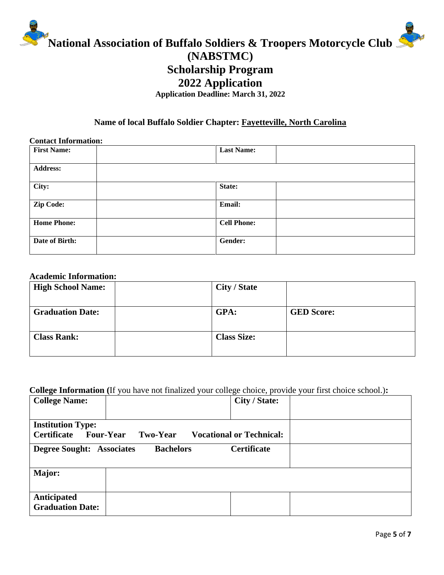

## **2022 Application**

**Application Deadline: March 31, 2022**

### **Name of local Buffalo Soldier Chapter: Fayetteville, North Carolina**

| <b>Contact Information:</b> |                    |  |
|-----------------------------|--------------------|--|
| <b>First Name:</b>          | <b>Last Name:</b>  |  |
| <b>Address:</b>             |                    |  |
| City:                       | State:             |  |
| Zip Code:                   | <b>Email:</b>      |  |
| <b>Home Phone:</b>          | <b>Cell Phone:</b> |  |
| Date of Birth:              | Gender:            |  |

### **Academic Information:**

| <b>High School Name:</b> | City / State       |                   |
|--------------------------|--------------------|-------------------|
| <b>Graduation Date:</b>  | GPA:               | <b>GED Score:</b> |
| <b>Class Rank:</b>       | <b>Class Size:</b> |                   |

### **College Information (**If you have not finalized your college choice, provide your first choice school.)**:**

| o<br><b>College Name:</b>                                                                                         |                  | City / State:      |  |
|-------------------------------------------------------------------------------------------------------------------|------------------|--------------------|--|
| <b>Institution Type:</b><br>Certificate<br><b>Four-Year</b><br><b>Vocational or Technical:</b><br><b>Two-Year</b> |                  |                    |  |
| <b>Degree Sought: Associates</b>                                                                                  | <b>Bachelors</b> | <b>Certificate</b> |  |
| Major:                                                                                                            |                  |                    |  |
| <b>Anticipated</b><br><b>Graduation Date:</b>                                                                     |                  |                    |  |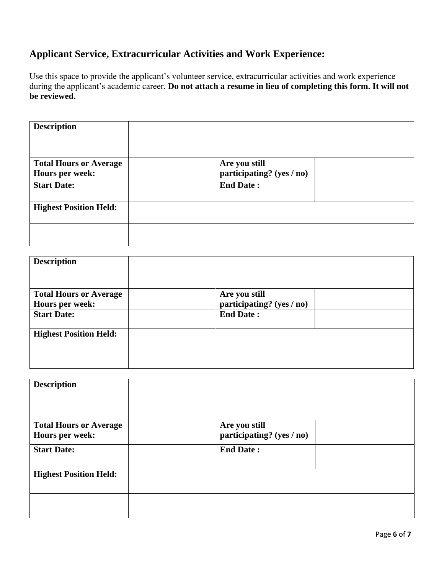# **Applicant Service, Extracurricular Activities and Work Experience:**

Use this space to provide the applicant's volunteer service, extracurricular activities and work experience during the applicant's academic career. **Do not attach a resume in lieu of completing this form. It will not be reviewed.**

| <b>Description</b>                               |                                            |  |
|--------------------------------------------------|--------------------------------------------|--|
| <b>Total Hours or Average</b><br>Hours per week: | Are you still<br>participating? (yes / no) |  |
| <b>Start Date:</b>                               | <b>End Date:</b>                           |  |
| <b>Highest Position Held:</b>                    |                                            |  |
|                                                  |                                            |  |

| <b>Description</b>                               |                                            |  |
|--------------------------------------------------|--------------------------------------------|--|
| <b>Total Hours or Average</b><br>Hours per week: | Are you still<br>participating? (yes / no) |  |
| <b>Start Date:</b>                               | <b>End Date:</b>                           |  |
| <b>Highest Position Held:</b>                    |                                            |  |
|                                                  |                                            |  |

| <b>Description</b>            |                           |  |
|-------------------------------|---------------------------|--|
| <b>Total Hours or Average</b> | Are you still             |  |
| Hours per week:               | participating? (yes / no) |  |
| <b>Start Date:</b>            | <b>End Date:</b>          |  |
|                               |                           |  |
| <b>Highest Position Held:</b> |                           |  |
|                               |                           |  |